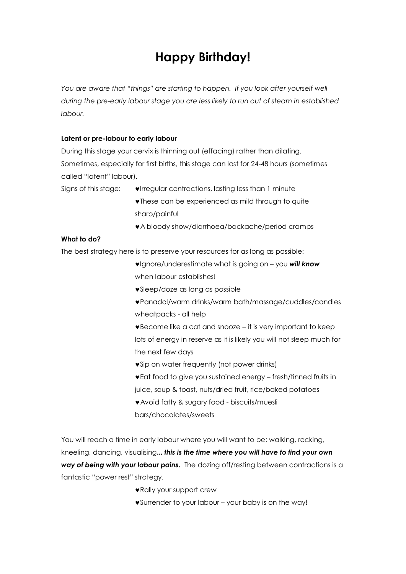# **Happy Birthday!**

You are aware that "things" are starting to happen. If you look after yourself well *during the pre-early labour stage you are less likely to run out of steam in established labour.* 

## **Latent or pre-labour to early labour**

During this stage your cervix is thinning out (effacing) rather than dilating. Sometimes, especially for first births, this stage can last for 24-48 hours (sometimes called "latent" labour).

- Signs of this stage:  $\bullet$  Irregular contractions, lasting less than 1 minute
	- **v** These can be experienced as mild through to quite sharp/painful
	- A bloody show/diarrhoea/backache/period cramps

# **What to do?**

The best strategy here is to preserve your resources for as long as possible:

- Ignore/underestimate what is going on you *will know* when labour establishes!
- Sleep/doze as long as possible
- Panadol/warm drinks/warm bath/massage/cuddles/candles wheatpacks - all help
- Become like a cat and snooze it is very important to keep lots of energy in reserve as it is likely you will not sleep much for the next few days
- **v** Sip on water frequently (not power drinks)
- Eat food to give you sustained energy fresh/tinned fruits in juice, soup & toast, nuts/dried fruit, rice/baked potatoes
- Avoid fatty & sugary food biscuits/muesli
- bars/chocolates/sweets

You will reach a time in early labour where you will want to be: walking, rocking, kneeling, dancing, visualising**...** *this is the time where you will have to find your own way of being with your labour pains***.** The dozing off/resting between contractions is a fantastic "power rest" strategy.

- Rally your support crew
- Surrender to your labour your baby is on the way!